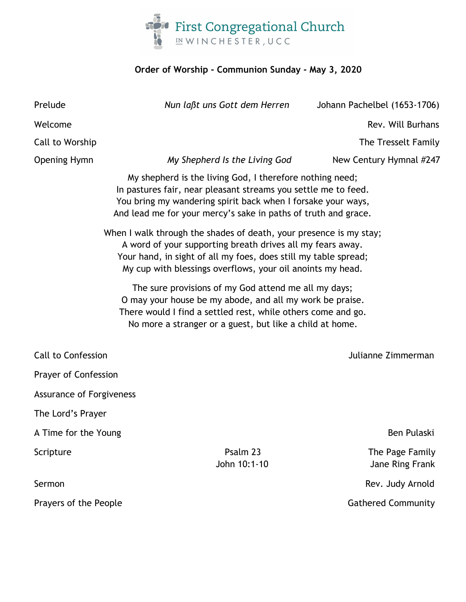

## **Order of Worship - Communion Sunday - May 3, 2020**

| Prelude                                                                                                                                                                                                                                                           | Nun laßt uns Gott dem Herren                                                                                                                                                                                                                                 | Johann Pachelbel (1653-1706)       |  |  |
|-------------------------------------------------------------------------------------------------------------------------------------------------------------------------------------------------------------------------------------------------------------------|--------------------------------------------------------------------------------------------------------------------------------------------------------------------------------------------------------------------------------------------------------------|------------------------------------|--|--|
| Welcome                                                                                                                                                                                                                                                           |                                                                                                                                                                                                                                                              | Rev. Will Burhans                  |  |  |
| Call to Worship                                                                                                                                                                                                                                                   |                                                                                                                                                                                                                                                              | The Tresselt Family                |  |  |
| <b>Opening Hymn</b>                                                                                                                                                                                                                                               | My Shepherd Is the Living God                                                                                                                                                                                                                                | New Century Hymnal #247            |  |  |
|                                                                                                                                                                                                                                                                   | My shepherd is the living God, I therefore nothing need;<br>In pastures fair, near pleasant streams you settle me to feed.<br>You bring my wandering spirit back when I forsake your ways,<br>And lead me for your mercy's sake in paths of truth and grace. |                                    |  |  |
| When I walk through the shades of death, your presence is my stay;<br>A word of your supporting breath drives all my fears away.<br>Your hand, in sight of all my foes, does still my table spread;<br>My cup with blessings overflows, your oil anoints my head. |                                                                                                                                                                                                                                                              |                                    |  |  |
| The sure provisions of my God attend me all my days;<br>O may your house be my abode, and all my work be praise.<br>There would I find a settled rest, while others come and go.<br>No more a stranger or a guest, but like a child at home.                      |                                                                                                                                                                                                                                                              |                                    |  |  |
| <b>Call to Confession</b>                                                                                                                                                                                                                                         |                                                                                                                                                                                                                                                              | Julianne Zimmerman                 |  |  |
| Prayer of Confession                                                                                                                                                                                                                                              |                                                                                                                                                                                                                                                              |                                    |  |  |
| <b>Assurance of Forgiveness</b>                                                                                                                                                                                                                                   |                                                                                                                                                                                                                                                              |                                    |  |  |
| The Lord's Prayer                                                                                                                                                                                                                                                 |                                                                                                                                                                                                                                                              |                                    |  |  |
| A Time for the Young                                                                                                                                                                                                                                              |                                                                                                                                                                                                                                                              | Ben Pulaski                        |  |  |
| Scripture                                                                                                                                                                                                                                                         | Psalm 23<br>John 10:1-10                                                                                                                                                                                                                                     | The Page Family<br>Jane Ring Frank |  |  |
| Sermon                                                                                                                                                                                                                                                            |                                                                                                                                                                                                                                                              | Rev. Judy Arnold                   |  |  |
| Prayers of the People                                                                                                                                                                                                                                             |                                                                                                                                                                                                                                                              | <b>Gathered Community</b>          |  |  |